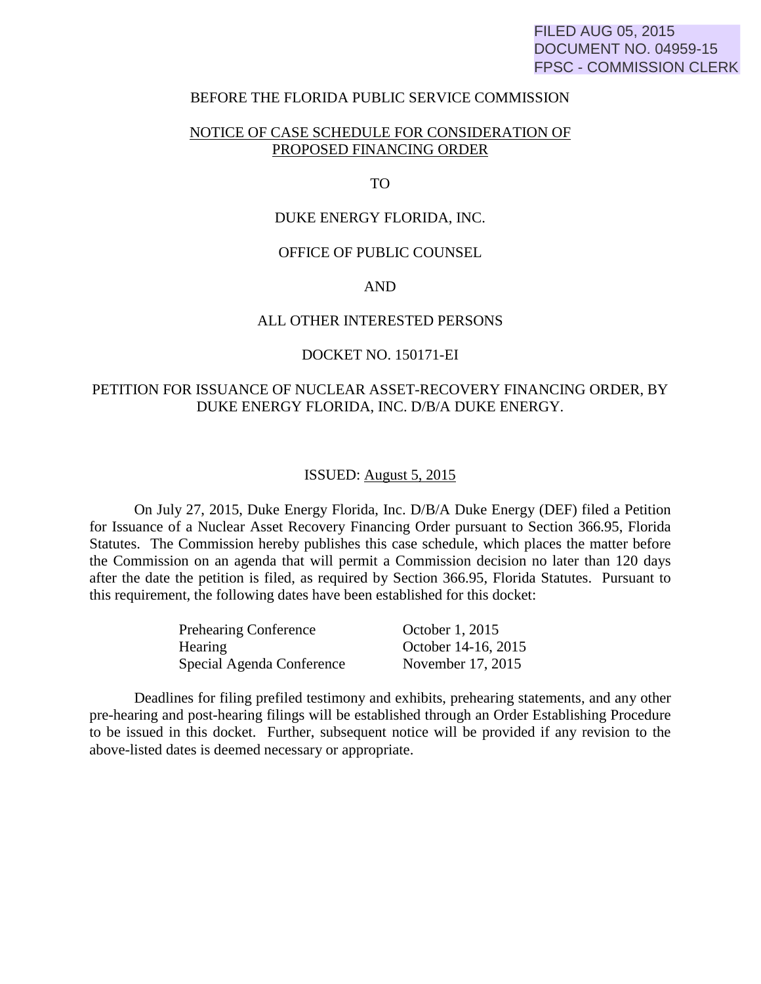FILED AUG 05, 2015 DOCUMENT NO. 04959-15 FPSC - COMMISSION CLERK

# BEFORE THE FLORIDA PUBLIC SERVICE COMMISSION

# NOTICE OF CASE SCHEDULE FOR CONSIDERATION OF PROPOSED FINANCING ORDER

TO

## DUKE ENERGY FLORIDA, INC.

## OFFICE OF PUBLIC COUNSEL

## AND

# ALL OTHER INTERESTED PERSONS

#### DOCKET NO. 150171-EI

# PETITION FOR ISSUANCE OF NUCLEAR ASSET-RECOVERY FINANCING ORDER, BY DUKE ENERGY FLORIDA, INC. D/B/A DUKE ENERGY.

## ISSUED: August 5, 2015

 On July 27, 2015, Duke Energy Florida, Inc. D/B/A Duke Energy (DEF) filed a Petition for Issuance of a Nuclear Asset Recovery Financing Order pursuant to Section 366.95, Florida Statutes. The Commission hereby publishes this case schedule, which places the matter before the Commission on an agenda that will permit a Commission decision no later than 120 days after the date the petition is filed, as required by Section 366.95, Florida Statutes. Pursuant to this requirement, the following dates have been established for this docket:

| <b>Prehearing Conference</b> | October 1, 2015     |
|------------------------------|---------------------|
| Hearing                      | October 14-16, 2015 |
| Special Agenda Conference    | November 17, 2015   |

 Deadlines for filing prefiled testimony and exhibits, prehearing statements, and any other pre-hearing and post-hearing filings will be established through an Order Establishing Procedure to be issued in this docket. Further, subsequent notice will be provided if any revision to the above-listed dates is deemed necessary or appropriate.